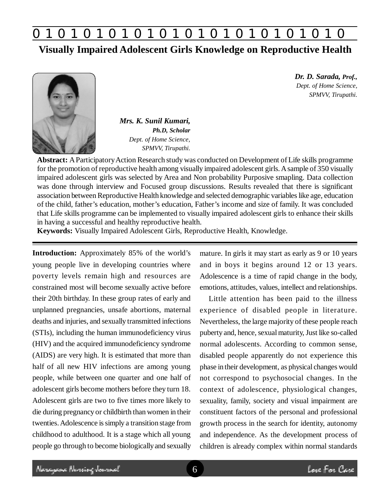

### **Visually Impaired Adolescent Girls Knowledge on Reproductive Health**



*Mrs. K. Sunil Kumari, Ph.D, Scholar Dept. of Home Science, SPMVV, Tirupathi.*

*Dr. D. Sarada, Prof., Dept. of Home Science, SPMVV, Tirupathi.*

**Abstract:** A Participatory Action Research study was conducted on Development of Life skills programme for the promotion of reproductive health among visually impaired adolescent girls. A sample of 350 visually impaired adolescent girls was selected by Area and Non probability Purposive smapling. Data collection was done through interview and Focused group discussions. Results revealed that there is significant association between Reproductive Health knowledge and selected demographic variables like age, education of the child, father's education, mother's education, Father's income and size of family. It was concluded that Life skills programme can be implemented to visually impaired adolescent girls to enhance their skills in having a successful and healthy reproductive health.

**Keywords:** Visually Impaired Adolescent Girls, Reproductive Health, Knowledge.

**Introduction:** Approximately 85% of the world's young people live in developing countries where poverty levels remain high and resources are constrained most will become sexually active before their 20th birthday. In these group rates of early and unplanned pregnancies, unsafe abortions, maternal deaths and injuries, and sexually transmitted infections (STIs), including the human immunodeficiency virus (HIV) and the acquired immunodeficiency syndrome (AIDS) are very high. It is estimated that more than half of all new HIV infections are among young people, while between one quarter and one half of adolescent girls become mothers before they turn 18. Adolescent girls are two to five times more likely to die during pregnancy or childbirth than women in their twenties. Adolescence is simply a transition stage from childhood to adulthood. It is a stage which all young people go through to become biologically and sexually

mature. In girls it may start as early as 9 or 10 years and in boys it begins around 12 or 13 years. Adolescence is a time of rapid change in the body, emotions, attitudes, values, intellect and relationships.

Little attention has been paid to the illness experience of disabled people in literature. Nevertheless, the large majority of these people reach puberty and, hence, sexual maturity, Just like so-called normal adolescents. According to common sense, disabled people apparently do not experience this phase in their development, as physical changes would not correspond to psychosocial changes. In the context of adolescence, physiological changes, sexuality, family, society and visual impairment are constituent factors of the personal and professional growth process in the search for identity, autonomy and independence. As the development process of children is already complex within normal standards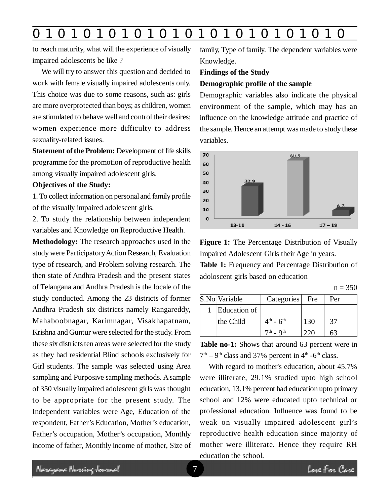## **0 z 0 z 0 z 0 z 0 z 0 z 0 z 0 z 0 z 0 z 0 z 0 z 0**

to reach maturity, what will the experience of visually impaired adolescents be like ?

We will try to answer this question and decided to work with female visually impaired adolescents only. This choice was due to some reasons, such as: girls are more overprotected than boys; as children, women are stimulated to behave well and control their desires; women experience more difficulty to address sexuality-related issues.

**Statement of the Problem:** Development of life skills programme for the promotion of reproductive health among visually impaired adolescent girls.

#### **Objectives of the Study:**

1. To collect information on personal and family profile of the visually impaired adolescent girls.

2. To study the relationship between independent variables and Knowledge on Reproductive Health.

**Methodology:** The research approaches used in the study were Participatory Action Research, Evaluation type of research, and Problem solving research. The then state of Andhra Pradesh and the present states of Telangana and Andhra Pradesh is the locale of the study conducted. Among the 23 districts of former Andhra Pradesh six districts namely Rangareddy, Mahaboobnagar, Karimnagar, Visakhapatnam, Krishna and Guntur were selected for the study. From these six districts ten areas were selected for the study as they had residential Blind schools exclusively for Girl students. The sample was selected using Area sampling and Purposive sampling methods. A sample of 350 visually impaired adolescent girls was thought to be appropriate for the present study. The Independent variables were Age, Education of the respondent, Father's Education, Mother's education, Father's occupation, Mother's occupation, Monthly income of father, Monthly income of mother, Size of family, Type of family. The dependent variables were Knowledge.

#### **Findings of the Study**

#### **Demographic profile of the sample**

Demographic variables also indicate the physical environment of the sample, which may has an influence on the knowledge attitude and practice of the sample. Hence an attempt was made to study these variables.



**Figure 1:** The Percentage Distribution of Visually Impaired Adolescent Girls their Age in years.

**Table 1:** Frequency and Percentage Distribution of adoloscent girls based on education

|--|--|

| S.No Variable | Categories Fre          |     | Per |
|---------------|-------------------------|-----|-----|
| Education of  |                         |     |     |
| the Child     | $4^{th}$ - $6^{th}$     | 130 | 37  |
|               | $7th$ - Q <sup>th</sup> |     |     |

**Table no-1:** Shows that around 63 percent were in  $7<sup>th</sup> - 9<sup>th</sup>$  class and 37% percent in  $4<sup>th</sup>$  -6<sup>th</sup> class.

With regard to mother's education, about 45.7% were illiterate, 29.1% studied upto high school education, 13.1% percent had education upto primary school and 12% were educated upto technical or professional education. Influence was found to be weak on visually impaired adolescent girl's reproductive health education since majority of mother were illiterate. Hence they require RH education the school.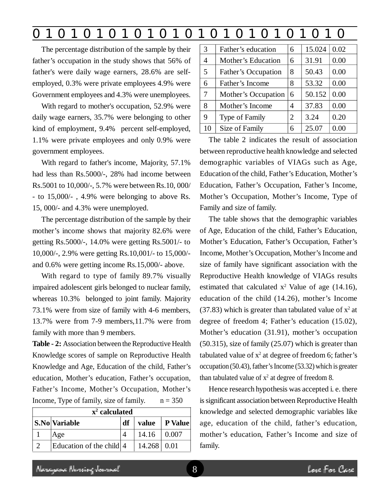### **0 z 0 z 0 z 0 z 0 z 0 z 0 z 0 z 0 z 0 z 0 z 0 z 0**

The percentage distribution of the sample by their father's occupation in the study shows that 56% of father's were daily wage earners, 28.6% are selfemployed, 0.3% were private employees 4.9% were Government employees and 4.3% were unemployees.

With regard to mother's occupation, 52.9% were daily wage earners, 35.7% were belonging to other kind of employment, 9.4% percent self-employed, 1.1% were private employees and only 0.9% were government employees.

With regard to father's income, Majority, 57.1% had less than Rs.5000/-, 28% had income between Rs.5001 to 10,000/-, 5.7% were between Rs.10, 000/ - to 15,000/- , 4.9% were belonging to above Rs. 15, 000/- and 4.3% were unemployed.

The percentage distribution of the sample by their mother's income shows that majority 82.6% were getting Rs.5000/-, 14.0% were getting Rs.5001/- to 10,000/-, 2.9% were getting Rs.10,001/- to 15,000/ and 0.6% were getting income Rs.15,000/- above.

With regard to type of family 89.7% visually impaired adolescent girls belonged to nuclear family, whereas 10.3% belonged to joint family. Majority 73.1% were from size of family with 4-6 members, 13.7% were from 7-9 members,11.7% were from family with more than 9 members.

**Table - 2:** Association between the Reproductive Health Knowledge scores of sample on Reproductive Health Knowledge and Age, Education of the child, Father's education, Mother's education, Father's occupation, Father's Income, Mother's Occupation, Mother's Income, Type of family, size of family.  $n = 350$ 

| $x^2$ calculated |                          |    |               |             |  |  |
|------------------|--------------------------|----|---------------|-------------|--|--|
|                  | <b>S.No</b> Variable     | df | value         | P Value     |  |  |
|                  | Age                      |    | 14.16         | $\pm 0.007$ |  |  |
|                  | Education of the child 4 |    | $14.268$ 0.01 |             |  |  |

| 3  | Father's education    | 6              | 15.024 | 0.02 |
|----|-----------------------|----------------|--------|------|
| 4  | Mother's Education    | 6              | 31.91  | 0.00 |
| 5  | Father's Occupation   | 8              | 50.43  | 0.00 |
| 6  | Father's Income       | 8              | 53.32  | 0.00 |
| 7  | Mother's Occupation   | 6              | 50.152 | 0.00 |
| 8  | Mother's Income       | 4              | 37.83  | 0.00 |
| 9  | <b>Type of Family</b> | $\overline{2}$ | 3.24   | 0.20 |
| 10 | Size of Family        | 6              | 25.07  | 0.00 |

The table 2 indicates the result of association between reproductive health knowledge and selected demographic variables of VIAGs such as Age, Education of the child, Father's Education, Mother's Education, Father's Occupation, Father's Income, Mother's Occupation, Mother's Income, Type of Family and size of family.

The table shows that the demographic variables of Age, Education of the child, Father's Education, Mother's Education, Father's Occupation, Father's Income, Mother's Occupation, Mother's Income and size of family have significant association with the Reproductive Health knowledge of VIAGs results estimated that calculated  $x^2$  Value of age (14.16), education of the child (14.26), mother's Income (37.83) which is greater than tabulated value of  $x^2$  at degree of freedom 4; Father's education (15.02), Mother's education (31.91), mother's occupation (50.315), size of family (25.07) which is greater than tabulated value of  $x^2$  at degree of freedom 6; father's occupation (50.43), father's Income (53.32) which is greater than tabulated value of  $x^2$  at degree of freedom 8.

Hence research hypothesis was accepted i. e. there is significant association between Reproductive Health knowledge and selected demographic variables like age, education of the child, father's education, mother's education, Father's Income and size of family.